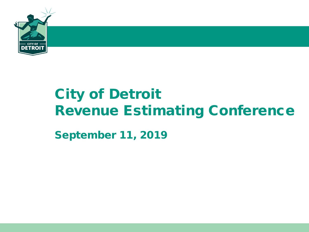

# City of Detroit Revenue Estimating Conference

September 11, 2019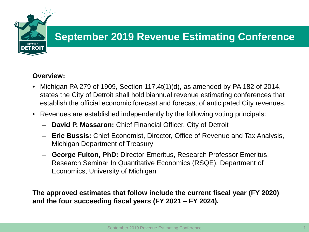

## **Overview:**

- Michigan PA 279 of 1909, Section 117.4t(1)(d), as amended by PA 182 of 2014, states the City of Detroit shall hold biannual revenue estimating conferences that establish the official economic forecast and forecast of anticipated City revenues.
- Revenues are established independently by the following voting principals:
	- **David P. Massaron:** Chief Financial Officer, City of Detroit
	- **Eric Bussis:** Chief Economist, Director, Office of Revenue and Tax Analysis, Michigan Department of Treasury
	- **George Fulton, PhD:** Director Emeritus, Research Professor Emeritus, Research Seminar In Quantitative Economics (RSQE), Department of Economics, University of Michigan

**The approved estimates that follow include the current fiscal year (FY 2020) and the four succeeding fiscal years (FY 2021 – FY 2024).**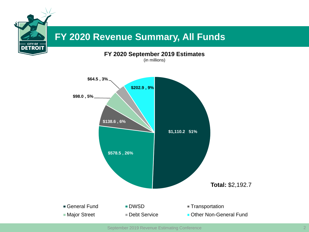

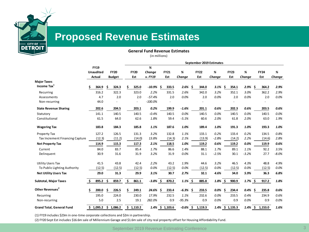

# **Proposed Revenue Estimates**

**General Fund Revenue Estimates**

(in millions)

|                                  |    |                      |     | September 2019 Estimates |    |             |             |  |                 |            |     |             |            |     |                 |            |             |         |
|----------------------------------|----|----------------------|-----|--------------------------|----|-------------|-------------|--|-----------------|------------|-----|-------------|------------|-----|-----------------|------------|-------------|---------|
|                                  |    | <b>FY19</b>          |     |                          |    |             | %           |  |                 |            |     |             |            |     |                 |            |             |         |
|                                  |    | <b>Unaudited</b>     |     | <b>FY20</b>              |    | <b>FY20</b> | Change      |  | <b>FY21</b>     | %          |     | <b>FY22</b> | %          |     | <b>FY23</b>     | %          | <b>FY24</b> | %       |
|                                  |    | Actual               |     | <b>Budget</b>            |    | Est         | v. FY19     |  | Est             | Change     |     | Est         | Change     |     | Est             | Change     | Est         | Change  |
| <b>Major Taxes</b>               |    |                      |     |                          |    |             |             |  |                 |            |     |             |            |     |                 |            |             |         |
| Income Tax <sup>1</sup>          |    | 364.9                | Ś   | 324.3                    | Ś. | 325.0       | $-10.9%$ \$ |  | 333.5           | 2.6%       | -\$ | 344.0       | 3.1%       | \$  | 354.1           | $2.9\%$ \$ | 364.2       | 2.9%    |
| Recurring                        |    | 316.2                |     | 322.3                    |    | 323.0       | 2.2%        |  | 331.5           | 2.6%       |     | 342.0       | 3.2%       |     | 352.1           | 3.0%       | 362.2       | 2.9%    |
| Assessments                      |    | 4.7                  |     | 2.0                      |    | 2.0         | $-57.4%$    |  | 2.0             | 0.0%       |     | 2.0         | 0.0%       |     | 2.0             | 0.0%       | 2.0         | 0.0%    |
| Non-recurring                    |    | 44.0                 |     |                          |    |             | $-100.0%$   |  |                 |            |     |             |            |     |                 |            |             |         |
| <b>State Revenue Sharing</b>     |    | 202.6                |     | 204.5                    |    | 203.1       | 0.2%        |  | 199.9           | $-1.6%$    |     | 201.1       | 0.6%       |     | 202.3           | 0.6%       | 203.5       | 0.6%    |
| Statutory                        |    | 141.1                |     | 140.5                    |    | 140.5       | $-0.4%$     |  | 140.5           | 0.0%       |     | 140.5       | 0.0%       |     | 140.5           | 0.0%       | 140.5       | 0.0%    |
| Constitutional                   |    | 61.5                 |     | 64.0                     |    | 62.6        | 1.8%        |  | 59.4            | $-5.1%$    |     | 60.6        | 2.0%       |     | 61.8            | 2.0%       | 63.0        | 1.9%    |
| <b>Wagering Tax</b>              |    | 183.8                |     | 184.3                    |    | 185.8       | 1.1%        |  | 187.6           | 1.0%       |     | 189.4       | 1.0%       |     | 191.3           | 1.0%       | 193.3       | 1.0%    |
| Property Tax                     |    | 127.2                |     | 126.5                    |    | 131.3       | 3.2%        |  | 132.8           | 1.1%       |     | 133.1       | 0.2%       |     | 133.4           | 0.2%       | 134.5       | 0.8%    |
| Tax Increment Financing Capture  |    | (12.3)               |     | (11.2)                   |    | (14.0)      | 13.8%       |  | (14.3)          | 2.1%       |     | (13.9)      | $-2.8%$    |     | (14.2)          | 2.2%       | (14.6)      | 2.8%    |
| <b>Net Property Tax</b>          |    | 114.9                |     | 115.3                    |    | 117.3       | 2.1%        |  | 118.5           | 1.0%       |     | 119.2       | 0.6%       |     | 119.2           | 0.0%       | 119.9       | 0.6%    |
| Current                          |    | 84.0                 |     | 83.7                     |    | 85.4        | 1.7%        |  | 86.6            | 1.4%       |     | 88.1        | 1.7%       |     | 89.1            | 1.1%       | 92.2        | 3.5%    |
| Delinquent                       |    | 30.9                 |     | 31.6                     |    | 31.9        | 3.2%        |  | 31.9            | 0.0%       |     | 31.1        | $-2.5%$    |     | 30.1            | $-3.2%$    | 27.7        | $-8.0%$ |
| <b>Utility Users Tax</b>         |    | 41.5                 |     | 43.8                     |    | 42.4        | 2.2%        |  | 43.2            | 1.9%       |     | 44.6        | 3.2%       |     | 46.5            | 4.3%       | 48.8        | 4.9%    |
| To Public Lighting Authority     |    | (12.5)               |     | (12.5)                   |    | (12.5)      | 0.0%        |  | (12.5)          | 0.0%       |     | (12.5)      | 0.0%       |     | (12.5)          | 0.0%       | (12.5)      | 0.0%    |
| <b>Net Utility Users Tax</b>     |    | 29.0                 |     | 31.3                     |    | 29.9        | 3.1%        |  | 30.7            | 2.7%       |     | 32.1        | 4.6%       |     | 34.0            | 5.9%       | 36.3        | 6.8%    |
| <b>Subtotal, Major Taxes</b>     |    | 895.2 \$             |     | 859.7                    | \$ | 861.1       | $-3.8\%$ \$ |  | 870.2           | $1.1\%$ \$ |     | 885.8       | $1.8\%$ \$ |     | 900.9           | $1.7\%$ \$ | 917.2       | 1.8%    |
| Other Revenues <sup>2</sup>      | \$ | 200.0                | \$. | 226.5                    |    | 249.1       | 24.6% \$    |  | 233.4           | $-6.3%$ \$ |     | 233.5       | 0.0%       | \$. | 234.4           | $0.4\%$ \$ | 235.8       | 0.6%    |
| Recurring                        |    | 195.0                |     | 224.0                    |    | 230.0       | 17.9%       |  | 232.5           | 1.1%       |     | 232.6       | 0.0%       |     | 233.5           | 0.4%       | 234.9       | 0.6%    |
| Non-recurring                    |    | 5.0                  |     | 2.5                      |    | 19.1        | 282.0%      |  | 0.9             | $-95.3%$   |     | 0.9         | 0.0%       |     | 0.9             | 0.0%       | 0.9         | 0.0%    |
| <b>Grand Total, General Fund</b> |    | $$1,095.2 \$1,086.2$ |     |                          |    | \$1,110.2   |             |  | 1.4% \$ 1,103.6 | $-0.6%$ \$ |     | 1,119.3     |            |     | 1.4% \$ 1,135.3 | $1.4\%$ \$ | 1,153.0     | 1.6%    |

(1) FY19 includes \$23m in one-time corporate collections and \$2m in partnership.

(2) FY20 Sept Est includes \$16.6m sale of Millennium Garage and \$1.6m sale of city real property offset for Housing Affordability Fund.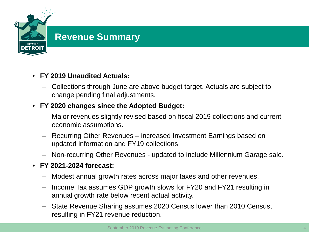

## **Revenue Summary**

## • **FY 2019 Unaudited Actuals:**

– Collections through June are above budget target. Actuals are subject to change pending final adjustments.

## • **FY 2020 changes since the Adopted Budget:**

- Major revenues slightly revised based on fiscal 2019 collections and current economic assumptions.
- Recurring Other Revenues increased Investment Earnings based on updated information and FY19 collections.
- Non-recurring Other Revenues updated to include Millennium Garage sale.

## • **FY 2021-2024 forecast:**

- Modest annual growth rates across major taxes and other revenues.
- Income Tax assumes GDP growth slows for FY20 and FY21 resulting in annual growth rate below recent actual activity.
- State Revenue Sharing assumes 2020 Census lower than 2010 Census, resulting in FY21 revenue reduction.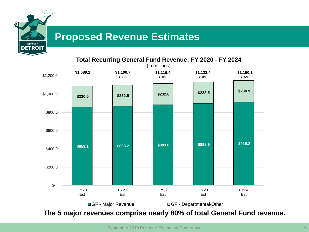

# **Proposed Revenue Estimates**



**The 5 major revenues comprise nearly 80% of total General Fund revenue.**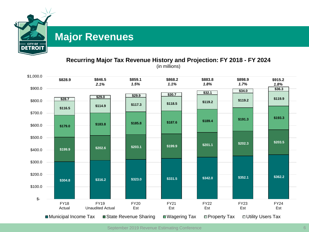

# **Major Revenues**

#### **Recurring Major Tax Revenue History and Projection: FY 2018 - FY 2024**

(in millions)



September 2019 Revenue Estimating Conference 6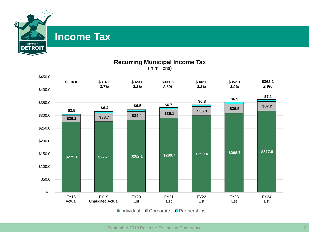

# **Income Tax**



#### **Recurring Municipal Income Tax**

September 2019 Revenue Estimating Conference 7 (2012) 2014 7 (2013) 2014 7 (2014) 2014 7 (2014) 2014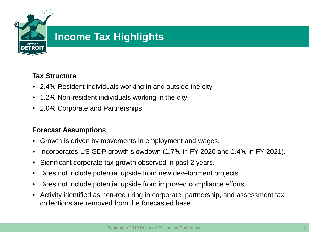

# **Income Tax Highlights**

## **Tax Structure**

- 2.4% Resident individuals working in and outside the city
- 1.2% Non-resident individuals working in the city
- 2.0% Corporate and Partnerships

## **Forecast Assumptions**

- Growth is driven by movements in employment and wages.
- Incorporates US GDP growth slowdown (1.7% in FY 2020 and 1.4% in FY 2021).
- Significant corporate tax growth observed in past 2 years.
- Does not include potential upside from new development projects.
- Does not include potential upside from improved compliance efforts.
- Activity identified as non-recurring in corporate, partnership, and assessment tax collections are removed from the forecasted base.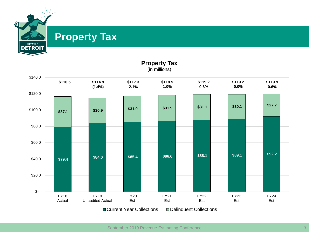

# **Property Tax**



**Property Tax** (in millions)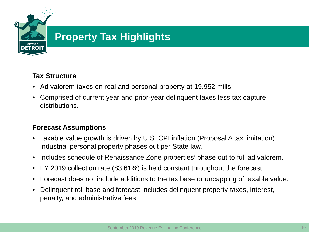

# **Property Tax Highlights**

## **Tax Structure**

- Ad valorem taxes on real and personal property at 19.952 mills
- Comprised of current year and prior-year delinquent taxes less tax capture distributions.

## **Forecast Assumptions**

- Taxable value growth is driven by U.S. CPI inflation (Proposal A tax limitation). Industrial personal property phases out per State law.
- Includes schedule of Renaissance Zone properties' phase out to full ad valorem.
- FY 2019 collection rate (83.61%) is held constant throughout the forecast.
- Forecast does not include additions to the tax base or uncapping of taxable value.
- Delinquent roll base and forecast includes delinquent property taxes, interest, penalty, and administrative fees.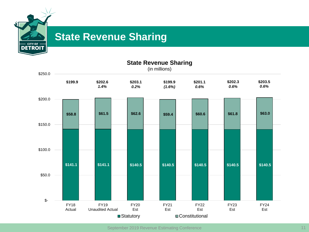

# **State Revenue Sharing**



September 2019 Revenue Estimating Conference 11 11 11 12 13 14 15 16 17 18 18 19 19 19 19 19 19 19 11 11 12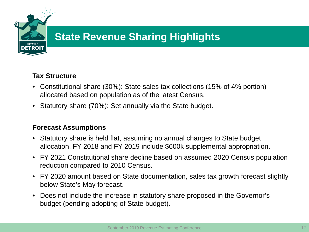

# **State Revenue Sharing Highlights**

## **Tax Structure**

- Constitutional share (30%): State sales tax collections (15% of 4% portion) allocated based on population as of the latest Census.
- Statutory share (70%): Set annually via the State budget.

#### **Forecast Assumptions**

- Statutory share is held flat, assuming no annual changes to State budget allocation. FY 2018 and FY 2019 include \$600k supplemental appropriation.
- FY 2021 Constitutional share decline based on assumed 2020 Census population reduction compared to 2010 Census.
- FY 2020 amount based on State documentation, sales tax growth forecast slightly below State's May forecast.
- Does not include the increase in statutory share proposed in the Governor's budget (pending adopting of State budget).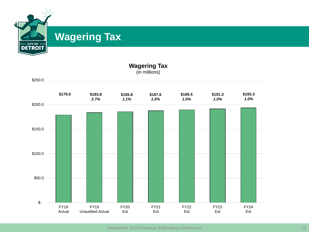

# **Wagering Tax**

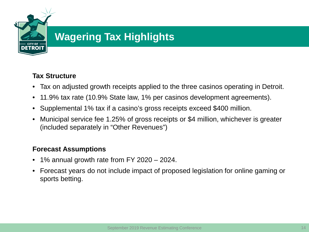

# **Wagering Tax Highlights**

## **Tax Structure**

- Tax on adjusted growth receipts applied to the three casinos operating in Detroit.
- 11.9% tax rate (10.9% State law, 1% per casinos development agreements).
- Supplemental 1% tax if a casino's gross receipts exceed \$400 million.
- Municipal service fee 1.25% of gross receipts or \$4 million, whichever is greater (included separately in "Other Revenues")

## **Forecast Assumptions**

- 1% annual growth rate from FY 2020 2024.
- Forecast years do not include impact of proposed legislation for online gaming or sports betting.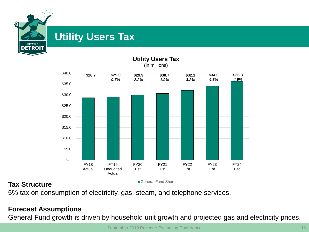

# **Utility Users Tax**



**Utility Users Tax** (in millions)

## **Tax Structure Tax** Structure **Tax Structure Tax Structure**

5% tax on consumption of electricity, gas, steam, and telephone services.

## **Forecast Assumptions**

General Fund growth is driven by household unit growth and projected gas and electricity prices.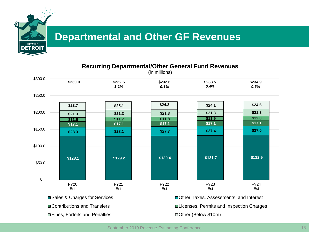

# **Departmental and Other GF Revenues**

#### **Recurring Departmental/Other General Fund Revenues**

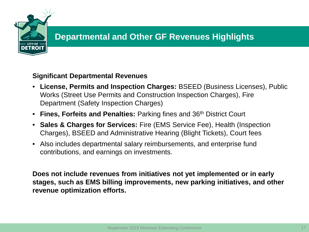

# **Departmental and Other GF Revenues Highlights**

#### **Significant Departmental Revenues**

- **License, Permits and Inspection Charges:** BSEED (Business Licenses), Public Works (Street Use Permits and Construction Inspection Charges), Fire Department (Safety Inspection Charges)
- **Fines, Forfeits and Penalties:** Parking fines and 36th District Court
- **Sales & Charges for Services:** Fire (EMS Service Fee), Health (Inspection Charges), BSEED and Administrative Hearing (Blight Tickets), Court fees
- Also includes departmental salary reimbursements, and enterprise fund contributions, and earnings on investments.

**Does not include revenues from initiatives not yet implemented or in early stages, such as EMS billing improvements, new parking initiatives, and other revenue optimization efforts.**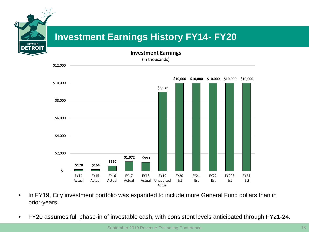# **Investment Earnings History FY14- FY20**

**ITY OF** 

**Investment Earnings** (in thousands)



- In FY19, City investment portfolio was expanded to include more General Fund dollars than in prior-years.
- FY20 assumes full phase-in of investable cash, with consistent levels anticipated through FY21-24.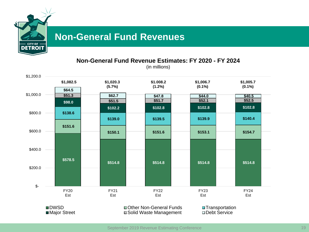

# **Non-General Fund Revenues**

**Non-General Fund Revenue Estimates: FY 2020 - FY 2024**

(in millions)

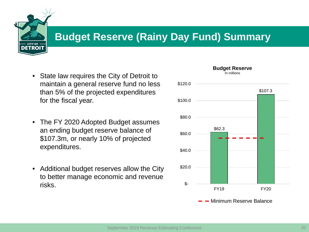

# **Budget Reserve (Rainy Day Fund) Summary**

- State law requires the City of Detroit to maintain a general reserve fund no less than 5% of the projected expenditures for the fiscal year.
- The FY 2020 Adopted Budget assumes an ending budget reserve balance of \$107.3m, or nearly 10% of projected expenditures.
- Additional budget reserves allow the City to better manage economic and revenue risks.

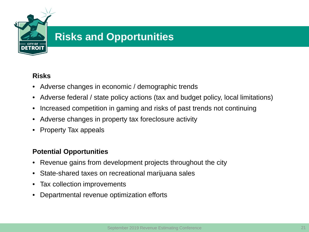

# **Risks and Opportunities**

## **Risks**

- Adverse changes in economic / demographic trends
- Adverse federal / state policy actions (tax and budget policy, local limitations)
- Increased competition in gaming and risks of past trends not continuing
- Adverse changes in property tax foreclosure activity
- Property Tax appeals

## **Potential Opportunities**

- Revenue gains from development projects throughout the city
- State-shared taxes on recreational marijuana sales
- Tax collection improvements
- Departmental revenue optimization efforts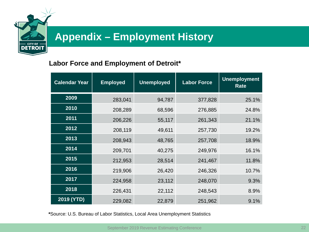

# **Appendix – Employment History**

## **Labor Force and Employment of Detroit\***

| <b>Calendar Year</b> | <b>Employed</b> | <b>Unemployed</b> | <b>Labor Force</b> | <b>Unemployment</b><br>Rate |  |  |
|----------------------|-----------------|-------------------|--------------------|-----------------------------|--|--|
| 2009                 | 283,041         | 94,787            | 377,828            | 25.1%                       |  |  |
| 2010                 | 208,289         | 68,596            | 276,885            | 24.8%                       |  |  |
| 2011                 | 206,226         | 55,117            | 261,343            | 21.1%                       |  |  |
| 2012                 | 208,119         | 49,611            | 257,730            | 19.2%                       |  |  |
| 2013                 | 208,943         | 48,765            | 257,708            | 18.9%                       |  |  |
| 2014                 | 209,701         | 40,275            | 249,976            | 16.1%                       |  |  |
| 2015                 | 212,953         | 28,514            | 241,467            | 11.8%                       |  |  |
| 2016                 | 219,906         | 26,420            | 246,326            | 10.7%                       |  |  |
| 2017                 | 224,958         | 23,112            | 248,070            | 9.3%                        |  |  |
| 2018                 | 226,431         | 22,112            | 248,543            | 8.9%                        |  |  |
| 2019 (YTD)           | 229,082         | 22,879            | 251,962            | 9.1%                        |  |  |

**\***Source: U.S. Bureau of Labor Statistics, Local Area Unemployment Statistics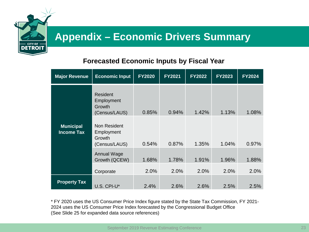

# **Appendix – Economic Drivers Summary**

## **Forecasted Economic Inputs by Fiscal Year**

| <b>Major Revenue</b>                  | <b>Economic Input</b>                                 | <b>FY2020</b> | <b>FY2021</b> | <b>FY2022</b> | <b>FY2023</b> | <b>FY2024</b> |
|---------------------------------------|-------------------------------------------------------|---------------|---------------|---------------|---------------|---------------|
|                                       | Resident<br>Employment<br>Growth<br>(Census/LAUS)     | 0.85%         | 0.94%         | 1.42%         | 1.13%         | 1.08%         |
| <b>Municipal</b><br><b>Income Tax</b> | Non Resident<br>Employment<br>Growth<br>(Census/LAUS) | 0.54%         | 0.87%         | 1.35%         | 1.04%         | 0.97%         |
|                                       | <b>Annual Wage</b><br>Growth (QCEW)                   | 1.68%         | 1.78%         | 1.91%         | 1.96%         | 1.88%         |
|                                       | Corporate                                             | 2.0%          | 2.0%          | 2.0%          | 2.0%          | 2.0%          |
| <b>Property Tax</b>                   | U.S. CPI-U*                                           | 2.4%          | 2.6%          | 2.6%          | 2.5%          | 2.5%          |

\* FY 2020 uses the US Consumer Price Index figure stated by the State Tax Commission, FY 2021- 2024 uses the US Consumer Price Index forecasted by the Congressional Budget Office (See Slide 25 for expanded data source references)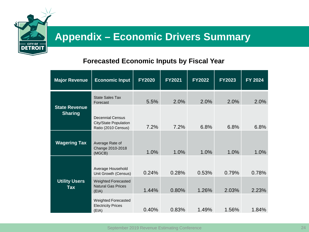

# **Appendix – Economic Drivers Summary**

## **Forecasted Economic Inputs by Fiscal Year**

| <b>Major Revenue</b>                   | <b>Economic Input</b>                                                   | <b>FY2020</b> | <b>FY2021</b> | <b>FY2022</b> | <b>FY2023</b> | FY 2024 |
|----------------------------------------|-------------------------------------------------------------------------|---------------|---------------|---------------|---------------|---------|
|                                        | <b>State Sales Tax</b><br>Forecast                                      | 5.5%          | 2.0%          | 2.0%          | 2.0%          | 2.0%    |
| <b>State Revenue</b><br><b>Sharing</b> | <b>Decennial Census</b><br>City/State Population<br>Ratio (2010 Census) | 7.2%          | 7.2%          | 6.8%          | 6.8%          | 6.8%    |
| <b>Wagering Tax</b>                    | Average Rate of<br>Change 2010-2018<br>(MGCB)                           | 1.0%          | 1.0%          | 1.0%          | 1.0%          | 1.0%    |
|                                        | Average Household<br>Unit Growth (Census)                               | 0.24%         | 0.28%         | 0.53%         | 0.79%         | 0.78%   |
| <b>Utility Users</b><br>Tax            | <b>Weighted Forecasted</b><br><b>Natural Gas Prices</b><br>(EIA)        | 1.44%         | 0.80%         | 1.26%         | 2.03%         | 2.23%   |
|                                        | <b>Weighted Forecasted</b><br><b>Electricity Prices</b><br>(EIA)        | 0.40%         | 0.83%         | 1.49%         | 1.56%         | 1.84%   |